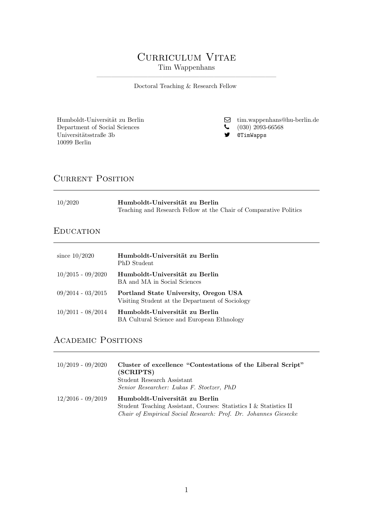# CURRICULUM VITAE Tim Wappenhans

————————————————————————– Doctoral Teaching & Research Fellow

Department of Social Sciences (030) 2093-<br>Universitätsstraße 3b **S C** (030) 2093-671mWapps Universitätsstraße 3b 10099 Berlin

Humboldt-Universität zu Berlin  $$\sf{G}$$ [tim.wappenhans@hu-berlin.de](mailto:tim.wappenhans@hu-berlin.de) Department of Social Sciences  $$\sf{C}$  (030) 2093-66568

# CURRENT POSITION

| 10/2020 | Humboldt-Universität zu Berlin                                    |  |
|---------|-------------------------------------------------------------------|--|
|         | Teaching and Research Fellow at the Chair of Comparative Politics |  |

#### **EDUCATION**

| since $10/2020$     | Humboldt-Universität zu Berlin<br>PhD Student                                            |
|---------------------|------------------------------------------------------------------------------------------|
| $10/2015 - 09/2020$ | Humboldt-Universität zu Berlin<br>BA and MA in Social Sciences                           |
| $09/2014 - 03/2015$ | Portland State University, Oregon USA<br>Visiting Student at the Department of Sociology |
| $10/2011 - 08/2014$ | Humboldt-Universität zu Berlin<br>BA Cultural Science and European Ethnology             |

### Academic Positions

| $10/2019 - 09/2020$ | Cluster of excellence "Contestations of the Liberal Script"<br>(SCRIPTS)<br>Student Research Assistant<br>Senior Researcher: Lukas F. Stoetzer, PhD                    |
|---------------------|------------------------------------------------------------------------------------------------------------------------------------------------------------------------|
| $12/2016 - 09/2019$ | Humboldt-Universität zu Berlin<br>Student Teaching Assistant, Courses: Statistics I & Statistics II<br>Chair of Empirical Social Research: Prof. Dr. Johannes Giesecke |